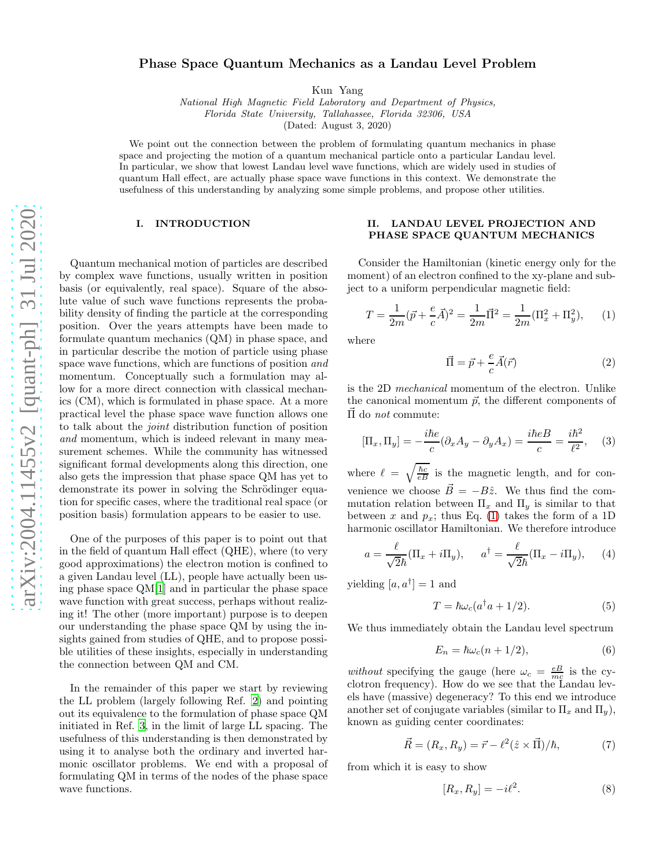# Phase Space Quantum Mechanics as a Landau Level Problem

Kun Yang

National High Magnetic Field Laboratory and Department of Physics, Florida State University, Tallahassee, Florida 32306, USA

(Dated: August 3, 2020)

We point out the connection between the problem of formulating quantum mechanics in phase space and projecting the motion of a quantum mechanical particle onto a particular Landau level. In particular, we show that lowest Landau level wave functions, which are widely used in studies of quantum Hall effect, are actually phase space wave functions in this context. We demonstrate the usefulness of this understanding by analyzing some simple problems, and propose other utilities.

## I. INTRODUCTION

Quantum mechanical motion of particles are described by complex wave functions, usually written in position basis (or equivalently, real space). Square of the absolute value of such wave functions represents the probability density of finding the particle at the corresponding position. Over the years attempts have been made to formulate quantum mechanics (QM) in phase space, and in particular describe the motion of particle using phase space wave functions, which are functions of position and momentum. Conceptually such a formulation may allow for a more direct connection with classical mechanics (CM), which is formulated in phase space. At a more practical level the phase space wave function allows one to talk about the joint distribution function of position and momentum, which is indeed relevant in many measurement schemes. While the community has witnessed significant formal developments along this direction, one also gets the impression that phase space QM has yet to demonstrate its power in solving the Schrödinger equation for specific cases, where the traditional real space (or position basis) formulation appears to be easier to use.

One of the purposes of this paper is to point out that in the field of quantum Hall effect (QHE), where (to very good approximations) the electron motion is confined to a given Landau level (LL), people have actually been using phase space QM[\[1](#page-5-0)] and in particular the phase space wave function with great success, perhaps without realizing it! The other (more important) purpose is to deepen our understanding the phase space QM by using the insights gained from studies of QHE, and to propose possible utilities of these insights, especially in understanding the connection between QM and CM.

In the remainder of this paper we start by reviewing the LL problem (largely following Ref. [2](#page-5-1)) and pointing out its equivalence to the formulation of phase space QM initiated in Ref. 3, in the limit of large LL spacing. The usefulness of this understanding is then demonstrated by using it to analyse both the ordinary and inverted harmonic oscillator problems. We end with a proposal of formulating QM in terms of the nodes of the phase space wave functions.

## II. LANDAU LEVEL PROJECTION AND PHASE SPACE QUANTUM MECHANICS

Consider the Hamiltonian (kinetic energy only for the moment) of an electron confined to the xy-plane and subject to a uniform perpendicular magnetic field:

<span id="page-0-0"></span>
$$
T = \frac{1}{2m}(\vec{p} + \frac{e}{c}\vec{A})^2 = \frac{1}{2m}\vec{\Pi}^2 = \frac{1}{2m}(\Pi_x^2 + \Pi_y^2),
$$
 (1)

where

$$
\vec{\Pi} = \vec{p} + \frac{e}{c}\vec{A}(\vec{r})\tag{2}
$$

is the 2D mechanical momentum of the electron. Unlike the canonical momentum  $\vec{p}$ , the different components of  $\overrightarrow{\Pi}$  do *not* commute:

$$
[\Pi_x, \Pi_y] = -\frac{i\hbar e}{c} (\partial_x A_y - \partial_y A_x) = \frac{i\hbar e}{c} = \frac{i\hbar^2}{\ell^2}, \quad (3)
$$

where  $\ell = \sqrt{\frac{\hbar c}{eB}}$  is the magnetic length, and for convenience we choose  $\vec{B} = -B\hat{z}$ . We thus find the commutation relation between  $\Pi_x$  and  $\Pi_y$  is similar to that between x and  $p_x$ ; thus Eq. [\(1\)](#page-0-0) takes the form of a 1D harmonic oscillator Hamiltonian. We therefore introduce

$$
a = \frac{\ell}{\sqrt{2}\hbar}(\Pi_x + i\Pi_y), \quad a^\dagger = \frac{\ell}{\sqrt{2}\hbar}(\Pi_x - i\Pi_y), \quad (4)
$$

yielding  $[a, a^{\dagger}] = 1$  and

$$
T = \hbar \omega_c (a^\dagger a + 1/2). \tag{5}
$$

We thus immediately obtain the Landau level spectrum

$$
E_n = \hbar \omega_c (n + 1/2),\tag{6}
$$

without specifying the gauge (here  $\omega_c = \frac{eB}{mc}$  is the cyclotron frequency). How do we see that the Landau levels have (massive) degeneracy? To this end we introduce another set of conjugate variables (similar to  $\Pi_x$  and  $\Pi_y$ ), known as guiding center coordinates:

$$
\vec{R} = (R_x, R_y) = \vec{r} - \ell^2 (\hat{z} \times \vec{\Pi})/\hbar, \tag{7}
$$

from which it is easy to show

<span id="page-0-1"></span>
$$
[R_x, R_y] = -i\ell^2. \tag{8}
$$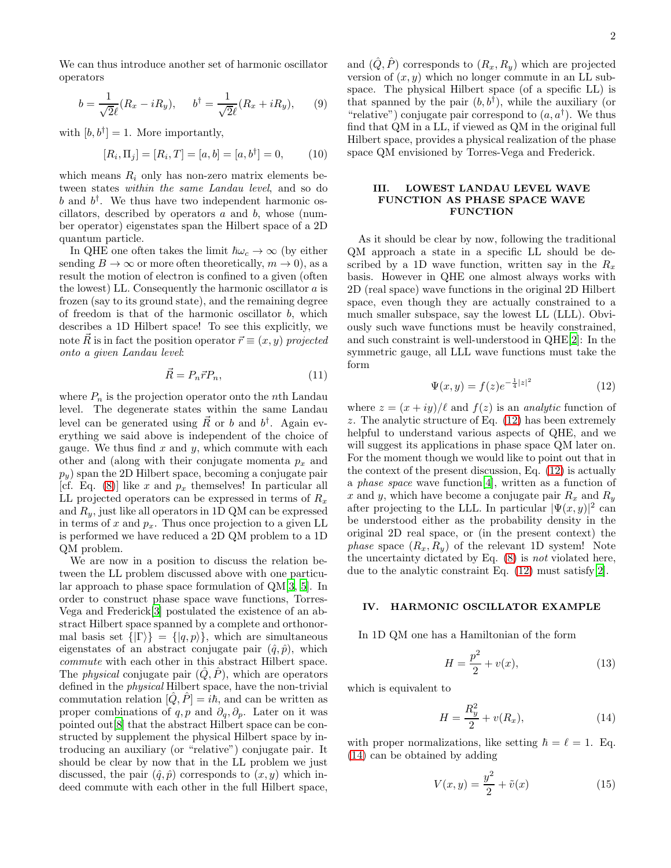$$
b = \frac{1}{\sqrt{2}\ell}(R_x - iR_y), \quad b^\dagger = \frac{1}{\sqrt{2}\ell}(R_x + iR_y), \quad (9)
$$

with  $[b, b^{\dagger}] = 1$ . More importantly,

$$
[R_i, \Pi_j] = [R_i, T] = [a, b] = [a, b^{\dagger}] = 0, \quad (10)
$$

which means  $R_i$  only has non-zero matrix elements between states within the same Landau level, and so do  $b$  and  $b^{\dagger}$ . We thus have two independent harmonic oscillators, described by operators  $a$  and  $b$ , whose (number operator) eigenstates span the Hilbert space of a 2D quantum particle.

In QHE one often takes the limit  $\hbar\omega_c \to \infty$  (by either sending  $B \to \infty$  or more often theoretically,  $m \to 0$ ), as a result the motion of electron is confined to a given (often the lowest) LL. Consequently the harmonic oscillator  $a$  is frozen (say to its ground state), and the remaining degree of freedom is that of the harmonic oscillator  $b$ , which describes a 1D Hilbert space! To see this explicitly, we note  $\vec{R}$  is in fact the position operator  $\vec{r} \equiv (x, y)$  projected onto a given Landau level:

$$
\vec{R} = P_n \vec{r} P_n,\tag{11}
$$

where  $P_n$  is the projection operator onto the *n*th Landau level. The degenerate states within the same Landau level can be generated using  $\vec{R}$  or b and  $b^{\dagger}$ . Again everything we said above is independent of the choice of gauge. We thus find  $x$  and  $y$ , which commute with each other and (along with their conjugate momenta  $p_x$  and  $p_y$ ) span the 2D Hilbert space, becoming a conjugate pair [cf. Eq. [\(8\)](#page-0-1)] like x and  $p_x$  themselves! In particular all LL projected operators can be expressed in terms of  $R_x$ and  $R_y$ , just like all operators in 1D QM can be expressed in terms of x and  $p_x$ . Thus once projection to a given LL is performed we have reduced a 2D QM problem to a 1D QM problem.

We are now in a position to discuss the relation between the LL problem discussed above with one particular approach to phase space formulation of QM[3, [5\]](#page-5-2). In order to construct phase space wave functions, Torres-Vega and Frederick[3] postulated the existence of an abstract Hilbert space spanned by a complete and orthonormal basis set  $\{|\Gamma\rangle\} = \{|q, p\rangle\}$ , which are simultaneous eigenstates of an abstract conjugate pair  $(\hat{q}, \hat{p})$ , which commute with each other in this abstract Hilbert space. The *physical* conjugate pair  $(\hat{Q}, \hat{P})$ , which are operators defined in the physical Hilbert space, have the non-trivial commutation relation  $[\hat{Q}, \hat{P}] = i\hbar$ , and can be written as proper combinations of q, p and  $\partial_q$ ,  $\partial_p$ . Later on it was pointed out[\[8](#page-5-3)] that the abstract Hilbert space can be constructed by supplement the physical Hilbert space by introducing an auxiliary (or "relative") conjugate pair. It should be clear by now that in the LL problem we just discussed, the pair  $(\hat{q}, \hat{p})$  corresponds to  $(x, y)$  which indeed commute with each other in the full Hilbert space,

and  $(\hat{Q}, \hat{P})$  corresponds to  $(R_x, R_y)$  which are projected version of  $(x, y)$  which no longer commute in an LL subspace. The physical Hilbert space (of a specific LL) is that spanned by the pair  $(b, b^{\dagger})$ , while the auxiliary (or "relative") conjugate pair correspond to  $(a, a^{\dagger})$ . We thus find that QM in a LL, if viewed as QM in the original full Hilbert space, provides a physical realization of the phase space QM envisioned by Torres-Vega and Frederick.

## III. LOWEST LANDAU LEVEL WAVE FUNCTION AS PHASE SPACE WAVE **FUNCTION**

As it should be clear by now, following the traditional QM approach a state in a specific LL should be described by a 1D wave function, written say in the  $R_x$ basis. However in QHE one almost always works with 2D (real space) wave functions in the original 2D Hilbert space, even though they are actually constrained to a much smaller subspace, say the lowest LL (LLL). Obviously such wave functions must be heavily constrained, and such constraint is well-understood in QHE[\[2\]](#page-5-1): In the symmetric gauge, all LLL wave functions must take the form

<span id="page-1-0"></span>
$$
\Psi(x,y) = f(z)e^{-\frac{1}{4}|z|^2} \tag{12}
$$

where  $z = (x + iy)/\ell$  and  $f(z)$  is an *analytic* function of z. The analytic structure of Eq. [\(12\)](#page-1-0) has been extremely helpful to understand various aspects of QHE, and we will suggest its applications in phase space QM later on. For the moment though we would like to point out that in the context of the present discussion, Eq. [\(12\)](#page-1-0) is actually a phase space wave function[\[4](#page-5-4)], written as a function of x and y, which have become a conjugate pair  $R_x$  and  $R_y$ after projecting to the LLL. In particular  $|\Psi(x, y)|^2$  can be understood either as the probability density in the original 2D real space, or (in the present context) the *phase* space  $(R_x, R_y)$  of the relevant 1D system! Note the uncertainty dictated by Eq. [\(8\)](#page-0-1) is not violated here, due to the analytic constraint Eq. [\(12\)](#page-1-0) must satisfy[\[2\]](#page-5-1).

## IV. HARMONIC OSCILLATOR EXAMPLE

In 1D QM one has a Hamiltonian of the form

<span id="page-1-2"></span>
$$
H = \frac{p^2}{2} + v(x),
$$
 (13)

which is equivalent to

<span id="page-1-1"></span>
$$
H = \frac{R_y^2}{2} + v(R_x),
$$
\n(14)

with proper normalizations, like setting  $\hbar = \ell = 1$ . Eq. [\(14\)](#page-1-1) can be obtained by adding

<span id="page-1-3"></span>
$$
V(x, y) = \frac{y^2}{2} + \tilde{v}(x)
$$
 (15)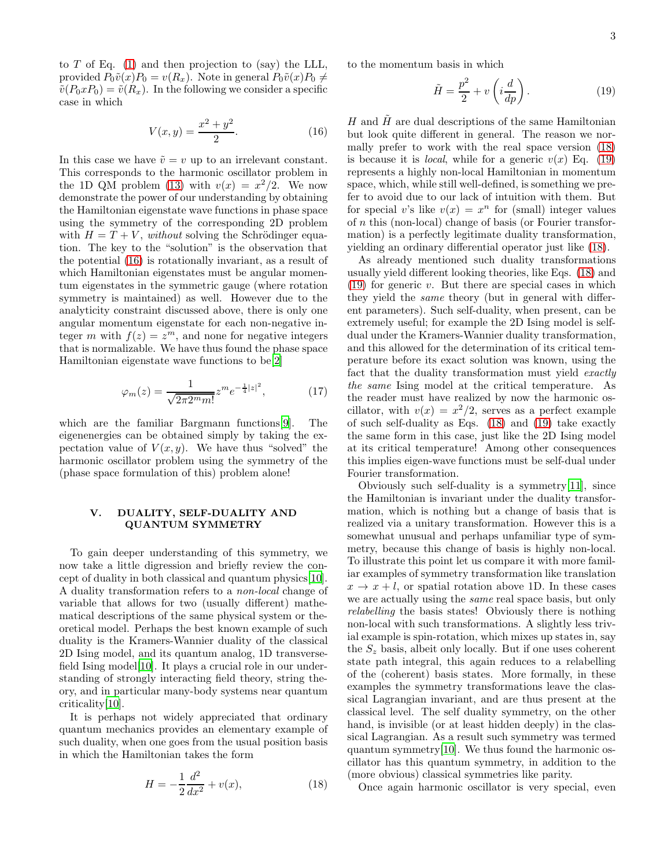to  $T$  of Eq. [\(1\)](#page-0-0) and then projection to (say) the LLL, provided  $P_0\tilde{v}(x)P_0 = v(R_x)$ . Note in general  $P_0\tilde{v}(x)P_0 \neq$  $\tilde{v}(P_0xP_0) = \tilde{v}(R_x)$ . In the following we consider a specific case in which

<span id="page-2-0"></span>
$$
V(x,y) = \frac{x^2 + y^2}{2}.
$$
 (16)

In this case we have  $\tilde{v} = v$  up to an irrelevant constant. This corresponds to the harmonic oscillator problem in the 1D QM problem [\(13\)](#page-1-2) with  $v(x) = x^2/2$ . We now demonstrate the power of our understanding by obtaining the Hamiltonian eigenstate wave functions in phase space using the symmetry of the corresponding 2D problem with  $H = T + V$ , without solving the Schrödinger equation. The key to the "solution" is the observation that the potential [\(16\)](#page-2-0) is rotationally invariant, as a result of which Hamiltonian eigenstates must be angular momentum eigenstates in the symmetric gauge (where rotation symmetry is maintained) as well. However due to the analyticity constraint discussed above, there is only one angular momentum eigenstate for each non-negative integer m with  $f(z) = z^m$ , and none for negative integers that is normalizable. We have thus found the phase space Hamiltonian eigenstate wave functions to be[\[2](#page-5-1)]

$$
\varphi_m(z) = \frac{1}{\sqrt{2\pi 2^m m!}} z^m e^{-\frac{1}{4}|z|^2},\tag{17}
$$

which are the familiar Bargmann functions[\[9](#page-5-5)]. The eigenenergies can be obtained simply by taking the expectation value of  $V(x, y)$ . We have thus "solved" the harmonic oscillator problem using the symmetry of the (phase space formulation of this) problem alone!

## V. DUALITY, SELF-DUALITY AND QUANTUM SYMMETRY

To gain deeper understanding of this symmetry, we now take a little digression and briefly review the concept of duality in both classical and quantum physics[\[10\]](#page-5-6). A duality transformation refers to a non-local change of variable that allows for two (usually different) mathematical descriptions of the same physical system or theoretical model. Perhaps the best known example of such duality is the Kramers-Wannier duality of the classical 2D Ising model, and its quantum analog, 1D transverse-field Ising model [\[10\]](#page-5-6). It plays a crucial role in our understanding of strongly interacting field theory, string theory, and in particular many-body systems near quantum criticality[\[10](#page-5-6)].

It is perhaps not widely appreciated that ordinary quantum mechanics provides an elementary example of such duality, when one goes from the usual position basis in which the Hamiltonian takes the form

<span id="page-2-1"></span>
$$
H = -\frac{1}{2}\frac{d^2}{dx^2} + v(x),
$$
\n(18)

to the momentum basis in which

<span id="page-2-2"></span>
$$
\tilde{H} = \frac{p^2}{2} + v\left(i\frac{d}{dp}\right). \tag{19}
$$

H and  $\hat{H}$  are dual descriptions of the same Hamiltonian but look quite different in general. The reason we normally prefer to work with the real space version [\(18\)](#page-2-1) is because it is *local*, while for a generic  $v(x)$  Eq. [\(19\)](#page-2-2) represents a highly non-local Hamiltonian in momentum space, which, while still well-defined, is something we prefer to avoid due to our lack of intuition with them. But for special v's like  $v(x) = x^n$  for (small) integer values of n this (non-local) change of basis (or Fourier transformation) is a perfectly legitimate duality transformation, yielding an ordinary differential operator just like [\(18\)](#page-2-1).

As already mentioned such duality transformations usually yield different looking theories, like Eqs. [\(18\)](#page-2-1) and  $(19)$  for generic v. But there are special cases in which they yield the same theory (but in general with different parameters). Such self-duality, when present, can be extremely useful; for example the 2D Ising model is selfdual under the Kramers-Wannier duality transformation, and this allowed for the determination of its critical temperature before its exact solution was known, using the fact that the duality transformation must yield exactly the same Ising model at the critical temperature. As the reader must have realized by now the harmonic oscillator, with  $v(x) = x^2/2$ , serves as a perfect example of such self-duality as Eqs. [\(18\)](#page-2-1) and [\(19\)](#page-2-2) take exactly the same form in this case, just like the 2D Ising model at its critical temperature! Among other consequences this implies eigen-wave functions must be self-dual under Fourier transformation.

Obviously such self-duality is a symmetry[\[11](#page-5-7)], since the Hamiltonian is invariant under the duality transformation, which is nothing but a change of basis that is realized via a unitary transformation. However this is a somewhat unusual and perhaps unfamiliar type of symmetry, because this change of basis is highly non-local. To illustrate this point let us compare it with more familiar examples of symmetry transformation like translation  $x \to x + l$ , or spatial rotation above 1D. In these cases we are actually using the same real space basis, but only relabelling the basis states! Obviously there is nothing non-local with such transformations. A slightly less trivial example is spin-rotation, which mixes up states in, say the  $S_z$  basis, albeit only locally. But if one uses coherent state path integral, this again reduces to a relabelling of the (coherent) basis states. More formally, in these examples the symmetry transformations leave the classical Lagrangian invariant, and are thus present at the classical level. The self duality symmetry, on the other hand, is invisible (or at least hidden deeply) in the classical Lagrangian. As a result such symmetry was termed quantum symmetry[\[10\]](#page-5-6). We thus found the harmonic oscillator has this quantum symmetry, in addition to the (more obvious) classical symmetries like parity.

Once again harmonic oscillator is very special, even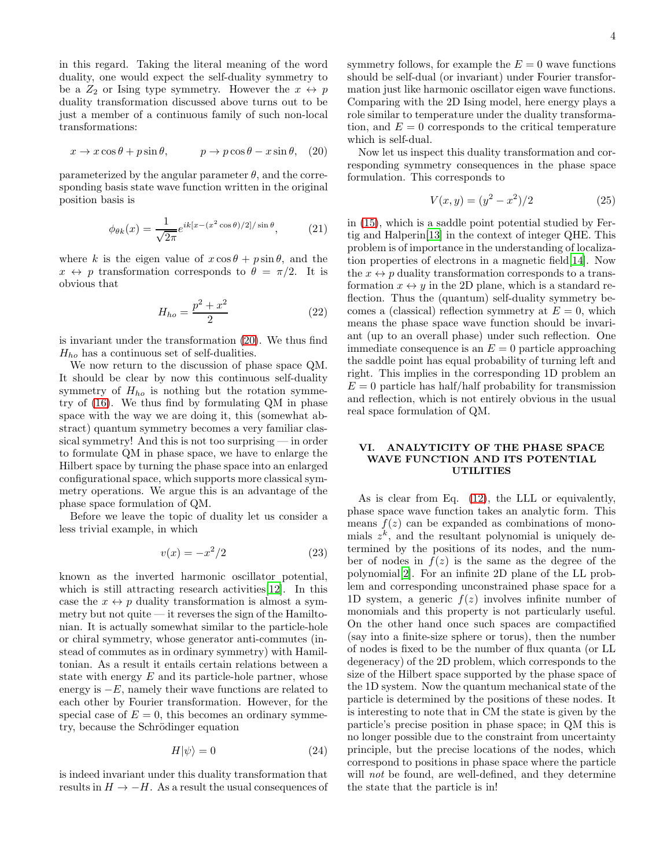in this regard. Taking the literal meaning of the word duality, one would expect the self-duality symmetry to be a  $Z_2$  or Ising type symmetry. However the  $x \leftrightarrow p$ duality transformation discussed above turns out to be just a member of a continuous family of such non-local transformations:

<span id="page-3-0"></span>
$$
x \to x\cos\theta + p\sin\theta, \qquad p \to p\cos\theta - x\sin\theta, \quad (20)
$$

parameterized by the angular parameter  $\theta$ , and the corresponding basis state wave function written in the original position basis is

$$
\phi_{\theta k}(x) = \frac{1}{\sqrt{2\pi}} e^{ik[x - (x^2 \cos \theta)/2]/\sin \theta}, \quad (21)
$$

where k is the eigen value of  $x \cos \theta + p \sin \theta$ , and the  $x \leftrightarrow p$  transformation corresponds to  $\theta = \pi/2$ . It is obvious that

$$
H_{ho} = \frac{p^2 + x^2}{2}
$$
 (22)

is invariant under the transformation [\(20\)](#page-3-0). We thus find  $H_{ho}$  has a continuous set of self-dualities.

We now return to the discussion of phase space QM. It should be clear by now this continuous self-duality symmetry of  $H_{ho}$  is nothing but the rotation symmetry of [\(16\)](#page-2-0). We thus find by formulating QM in phase space with the way we are doing it, this (somewhat abstract) quantum symmetry becomes a very familiar classical symmetry! And this is not too surprising — in order to formulate QM in phase space, we have to enlarge the Hilbert space by turning the phase space into an enlarged configurational space, which supports more classical symmetry operations. We argue this is an advantage of the phase space formulation of QM.

Before we leave the topic of duality let us consider a less trivial example, in which

$$
v(x) = -x^2/2\tag{23}
$$

known as the inverted harmonic oscillator potential, which is still attracting research activities [\[12](#page-5-8)]. In this case the  $x \leftrightarrow p$  duality transformation is almost a symmetry but not quite — it reverses the sign of the Hamiltonian. It is actually somewhat similar to the particle-hole or chiral symmetry, whose generator anti-commutes (instead of commutes as in ordinary symmetry) with Hamiltonian. As a result it entails certain relations between a state with energy  $E$  and its particle-hole partner, whose energy is  $-E$ , namely their wave functions are related to each other by Fourier transformation. However, for the special case of  $E = 0$ , this becomes an ordinary symmetry, because the Schrödinger equation

$$
H|\psi\rangle = 0\tag{24}
$$

is indeed invariant under this duality transformation that results in  $H \to -H$ . As a result the usual consequences of symmetry follows, for example the  $E = 0$  wave functions should be self-dual (or invariant) under Fourier transformation just like harmonic oscillator eigen wave functions. Comparing with the 2D Ising model, here energy plays a role similar to temperature under the duality transformation, and  $E = 0$  corresponds to the critical temperature which is self-dual.

Now let us inspect this duality transformation and corresponding symmetry consequences in the phase space formulation. This corresponds to

$$
V(x, y) = (y^2 - x^2)/2
$$
 (25)

in [\(15\)](#page-1-3), which is a saddle point potential studied by Fertig and Halperin[\[13\]](#page-5-9) in the context of integer QHE. This problem is of importance in the understanding of localization properties of electrons in a magnetic field[\[14](#page-5-10)]. Now the  $x \leftrightarrow p$  duality transformation corresponds to a transformation  $x \leftrightarrow y$  in the 2D plane, which is a standard reflection. Thus the (quantum) self-duality symmetry becomes a (classical) reflection symmetry at  $E = 0$ , which means the phase space wave function should be invariant (up to an overall phase) under such reflection. One immediate consequence is an  $E = 0$  particle approaching the saddle point has equal probability of turning left and right. This implies in the corresponding 1D problem an  $E = 0$  particle has half/half probability for transmission and reflection, which is not entirely obvious in the usual real space formulation of QM.

#### VI. ANALYTICITY OF THE PHASE SPACE WAVE FUNCTION AND ITS POTENTIAL UTILITIES

As is clear from Eq. [\(12\)](#page-1-0), the LLL or equivalently, phase space wave function takes an analytic form. This means  $f(z)$  can be expanded as combinations of monomials  $z^k$ , and the resultant polynomial is uniquely determined by the positions of its nodes, and the number of nodes in  $f(z)$  is the same as the degree of the polynomial[\[2\]](#page-5-1). For an infinite 2D plane of the LL problem and corresponding unconstrained phase space for a 1D system, a generic  $f(z)$  involves infinite number of monomials and this property is not particularly useful. On the other hand once such spaces are compactified (say into a finite-size sphere or torus), then the number of nodes is fixed to be the number of flux quanta (or LL degeneracy) of the 2D problem, which corresponds to the size of the Hilbert space supported by the phase space of the 1D system. Now the quantum mechanical state of the particle is determined by the positions of these nodes. It is interesting to note that in CM the state is given by the particle's precise position in phase space; in QM this is no longer possible due to the constraint from uncertainty principle, but the precise locations of the nodes, which correspond to positions in phase space where the particle will *not* be found, are well-defined, and they determine the state that the particle is in!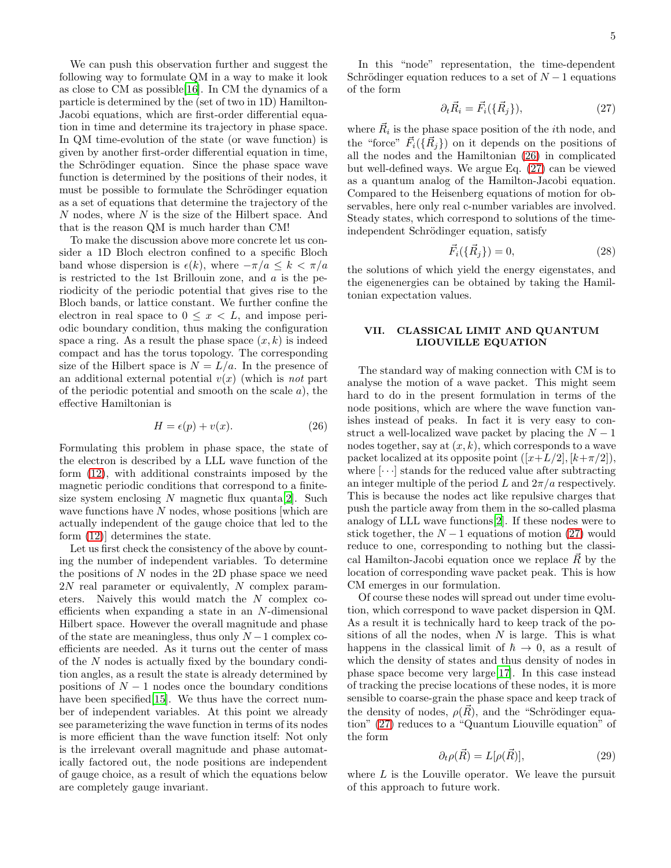We can push this observation further and suggest the following way to formulate QM in a way to make it look as close to CM as possible[\[16](#page-5-11)]. In CM the dynamics of a particle is determined by the (set of two in 1D) Hamilton-Jacobi equations, which are first-order differential equation in time and determine its trajectory in phase space. In QM time-evolution of the state (or wave function) is given by another first-order differential equation in time, the Schrödinger equation. Since the phase space wave function is determined by the positions of their nodes, it must be possible to formulate the Schrödinger equation as a set of equations that determine the trajectory of the  $N$  nodes, where  $N$  is the size of the Hilbert space. And that is the reason QM is much harder than CM!

To make the discussion above more concrete let us consider a 1D Bloch electron confined to a specific Bloch band whose dispersion is  $\epsilon(k)$ , where  $-\pi/a \leq k < \pi/a$ is restricted to the 1st Brillouin zone, and  $a$  is the periodicity of the periodic potential that gives rise to the Bloch bands, or lattice constant. We further confine the electron in real space to  $0 \leq x < L$ , and impose periodic boundary condition, thus making the configuration space a ring. As a result the phase space  $(x, k)$  is indeed compact and has the torus topology. The corresponding size of the Hilbert space is  $N = L/a$ . In the presence of an additional external potential  $v(x)$  (which is not part of the periodic potential and smooth on the scale  $a$ ), the effective Hamiltonian is

<span id="page-4-0"></span>
$$
H = \epsilon(p) + v(x). \tag{26}
$$

Formulating this problem in phase space, the state of the electron is described by a LLL wave function of the form [\(12\)](#page-1-0), with additional constraints imposed by the magnetic periodic conditions that correspond to a finitesize system enclosing  $N$  magnetic flux quanta [\[2\]](#page-5-1). Such wave functions have  $N$  nodes, whose positions [which are actually independent of the gauge choice that led to the form [\(12\)](#page-1-0)] determines the state.

Let us first check the consistency of the above by counting the number of independent variables. To determine the positions of  $N$  nodes in the 2D phase space we need  $2N$  real parameter or equivalently, N complex parameters. Naively this would match the N complex coefficients when expanding a state in an N-dimensional Hilbert space. However the overall magnitude and phase of the state are meaningless, thus only  $N-1$  complex coefficients are needed. As it turns out the center of mass of the N nodes is actually fixed by the boundary condition angles, as a result the state is already determined by positions of  $N-1$  nodes once the boundary conditions have been specified [\[15\]](#page-5-12). We thus have the correct number of independent variables. At this point we already see parameterizing the wave function in terms of its nodes is more efficient than the wave function itself: Not only is the irrelevant overall magnitude and phase automatically factored out, the node positions are independent of gauge choice, as a result of which the equations below are completely gauge invariant.

In this "node" representation, the time-dependent Schrödinger equation reduces to a set of  $N-1$  equations of the form

<span id="page-4-1"></span>
$$
\partial_t \vec{R}_i = \vec{F}_i(\{\vec{R}_j\}),\tag{27}
$$

where  $\vec{R}_i$  is the phase space position of the *i*<sup>th</sup> node, and the "force"  $\vec{F}_i(\{\vec{R}_j\})$  on it depends on the positions of all the nodes and the Hamiltonian [\(26\)](#page-4-0) in complicated but well-defined ways. We argue Eq. [\(27\)](#page-4-1) can be viewed as a quantum analog of the Hamilton-Jacobi equation. Compared to the Heisenberg equations of motion for observables, here only real c-number variables are involved. Steady states, which correspond to solutions of the timeindependent Schrödinger equation, satisfy

$$
\vec{F}_i(\{\vec{R}_j\}) = 0,\t(28)
$$

the solutions of which yield the energy eigenstates, and the eigenenergies can be obtained by taking the Hamiltonian expectation values.

# VII. CLASSICAL LIMIT AND QUANTUM LIOUVILLE EQUATION

The standard way of making connection with CM is to analyse the motion of a wave packet. This might seem hard to do in the present formulation in terms of the node positions, which are where the wave function vanishes instead of peaks. In fact it is very easy to construct a well-localized wave packet by placing the  $N-1$ nodes together, say at  $(x, k)$ , which corresponds to a wave packet localized at its opposite point  $([x+L/2], [k+\pi/2]),$ where  $[\cdots]$  stands for the reduced value after subtracting an integer multiple of the period L and  $2\pi/a$  respectively. This is because the nodes act like repulsive charges that push the particle away from them in the so-called plasma analogy of LLL wave functions[\[2\]](#page-5-1). If these nodes were to stick together, the  $N-1$  equations of motion [\(27\)](#page-4-1) would reduce to one, corresponding to nothing but the classical Hamilton-Jacobi equation once we replace  $\vec{R}$  by the location of corresponding wave packet peak. This is how CM emerges in our formulation.

Of course these nodes will spread out under time evolution, which correspond to wave packet dispersion in QM. As a result it is technically hard to keep track of the positions of all the nodes, when  $N$  is large. This is what happens in the classical limit of  $\hbar \to 0$ , as a result of which the density of states and thus density of nodes in phase space become very large[\[17\]](#page-5-13). In this case instead of tracking the precise locations of these nodes, it is more sensible to coarse-grain the phase space and keep track of the density of nodes,  $\rho(\vec{R})$ , and the "Schrödinger equation" [\(27\)](#page-4-1) reduces to a "Quantum Liouville equation" of the form

$$
\partial_t \rho(\vec{R}) = L[\rho(\vec{R})],\tag{29}
$$

where  $L$  is the Louville operator. We leave the pursuit of this approach to future work.